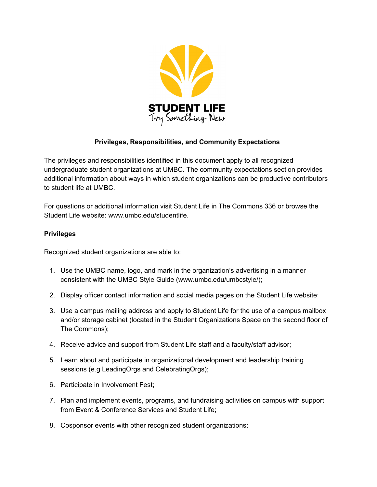

## **Privileges, Responsibilities, and Community Expectations**

The privileges and responsibilities identified in this document apply to all recognized undergraduate student organizations at UMBC. The community expectations section provides additional information about ways in which student organizations can be productive contributors to student life at UMBC.

For questions or additional information visit Student Life in The Commons 336 or browse the Student Life website: www.umbc.edu/studentlife.

## **Privileges**

Recognized student organizations are able to:

- 1. Use the UMBC name, logo, and mark in the organization's advertising in a manner consistent with the UMBC Style Guide (www.umbc.edu/umbcstyle/);
- 2. Display officer contact information and social media pages on the Student Life website;
- 3. Use a campus mailing address and apply to Student Life for the use of a campus mailbox and/or storage cabinet (located in the Student Organizations Space on the second floor of The Commons);
- 4. Receive advice and support from Student Life staff and a faculty/staff advisor;
- 5. Learn about and participate in organizational development and leadership training sessions (e.g LeadingOrgs and CelebratingOrgs);
- 6. Participate in Involvement Fest;
- 7. Plan and implement events, programs, and fundraising activities on campus with support from Event & Conference Services and Student Life;
- 8. Cosponsor events with other recognized student organizations;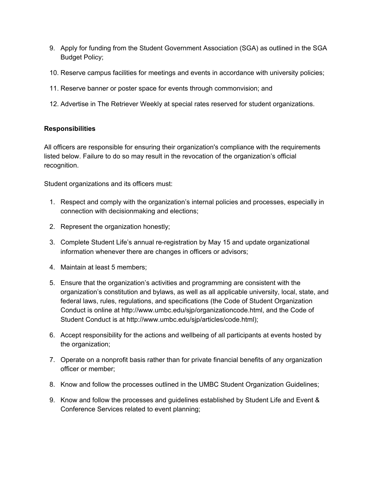- 9. Apply for funding from the Student Government Association (SGA) as outlined in the SGA Budget Policy;
- 10. Reserve campus facilities for meetings and events in accordance with university policies;
- 11. Reserve banner or poster space for events through commonvision; and
- 12. Advertise in The Retriever Weekly at special rates reserved for student organizations.

## **Responsibilities**

All officers are responsible for ensuring their organization's compliance with the requirements listed below. Failure to do so may result in the revocation of the organization's official recognition.

Student organizations and its officers must:

- 1. Respect and comply with the organization's internal policies and processes, especially in connection with decisionmaking and elections;
- 2. Represent the organization honestly;
- 3. Complete Student Life's annual re-registration by May 15 and update organizational information whenever there are changes in officers or advisors;
- 4. Maintain at least 5 members;
- 5. Ensure that the organization's activities and programming are consistent with the organization's constitution and bylaws, as well as all applicable university, local, state, and federal laws, rules, regulations, and specifications (the Code of Student Organization Conduct is online at http://www.umbc.edu/sjp/organizationcode.html, and the Code of Student Conduct is at http://www.umbc.edu/sjp/articles/code.html);
- 6. Accept responsibility for the actions and wellbeing of all participants at events hosted by the organization;
- 7. Operate on a nonprofit basis rather than for private financial benefits of any organization officer or member;
- 8. Know and follow the processes outlined in the UMBC Student Organization Guidelines;
- 9. Know and follow the processes and guidelines established by Student Life and Event & Conference Services related to event planning;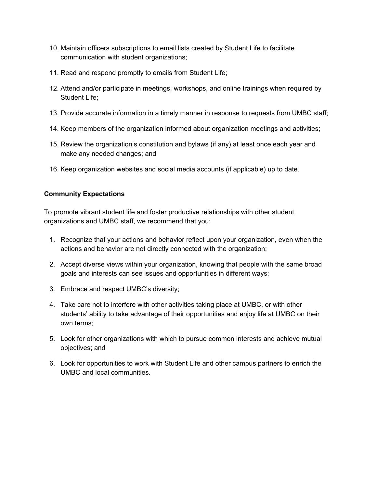- 10. Maintain officers subscriptions to email lists created by Student Life to facilitate communication with student organizations;
- 11. Read and respond promptly to emails from Student Life;
- 12. Attend and/or participate in meetings, workshops, and online trainings when required by Student Life;
- 13. Provide accurate information in a timely manner in response to requests from UMBC staff;
- 14. Keep members of the organization informed about organization meetings and activities;
- 15. Review the organization's constitution and bylaws (if any) at least once each year and make any needed changes; and
- 16. Keep organization websites and social media accounts (if applicable) up to date.

## **Community Expectations**

To promote vibrant student life and foster productive relationships with other student organizations and UMBC staff, we recommend that you:

- 1. Recognize that your actions and behavior reflect upon your organization, even when the actions and behavior are not directly connected with the organization;
- 2. Accept diverse views within your organization, knowing that people with the same broad goals and interests can see issues and opportunities in different ways;
- 3. Embrace and respect UMBC's diversity;
- 4. Take care not to interfere with other activities taking place at UMBC, or with other students' ability to take advantage of their opportunities and enjoy life at UMBC on their own terms;
- 5. Look for other organizations with which to pursue common interests and achieve mutual objectives; and
- 6. Look for opportunities to work with Student Life and other campus partners to enrich the UMBC and local communities.